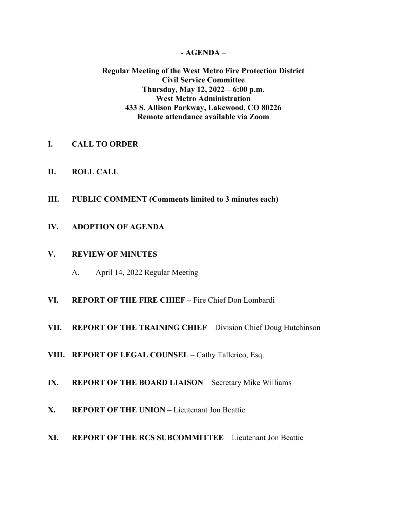#### **- AGENDA –**

#### **Regular Meeting of the West Metro Fire Protection District Civil Service Committee Thursday, May 12, 2022 – 6:00 p.m. West Metro Administration 433 S. Allison Parkway, Lakewood, CO 80226 Remote attendance available via Zoom**

- **I. CALL TO ORDER**
- **II. ROLL CALL**
- **III. PUBLIC COMMENT (Comments limited to 3 minutes each)**
- **IV. ADOPTION OF AGENDA**

### **V. REVIEW OF MINUTES**

- A. April 14, 2022 Regular Meeting
- **VI. REPORT OF THE FIRE CHIEF**  Fire Chief Don Lombardi
- **VII. REPORT OF THE TRAINING CHIEF** Division Chief Doug Hutchinson
- **VIII. REPORT OF LEGAL COUNSEL** Cathy Tallerico, Esq.
- **IX. REPORT OF THE BOARD LIAISON** Secretary Mike Williams
- **X. REPORT OF THE UNION** Lieutenant Jon Beattie
- **XI. REPORT OF THE RCS SUBCOMMITTEE** Lieutenant Jon Beattie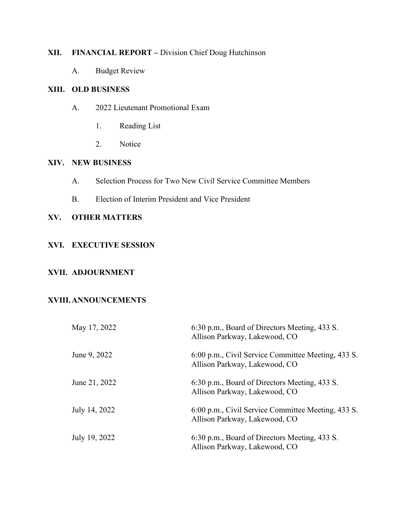# **XII. FINANCIAL REPORT –** Division Chief Doug Hutchinson

A. Budget Review

### **XIII. OLD BUSINESS**

- A. 2022 Lieutenant Promotional Exam
	- 1. Reading List
	- 2. Notice

### **XIV. NEW BUSINESS**

- A. Selection Process for Two New Civil Service Committee Members
- B. Election of Interim President and Vice President

## **XV. OTHER MATTERS**

#### **XVI. EXECUTIVE SESSION**

### **XVII. ADJOURNMENT**

### **XVIII.ANNOUNCEMENTS**

| May 17, 2022  | 6:30 p.m., Board of Directors Meeting, 433 S.<br>Allison Parkway, Lakewood, CO      |
|---------------|-------------------------------------------------------------------------------------|
| June 9, 2022  | 6:00 p.m., Civil Service Committee Meeting, 433 S.<br>Allison Parkway, Lakewood, CO |
| June 21, 2022 | 6:30 p.m., Board of Directors Meeting, 433 S.<br>Allison Parkway, Lakewood, CO      |
| July 14, 2022 | 6:00 p.m., Civil Service Committee Meeting, 433 S.<br>Allison Parkway, Lakewood, CO |
| July 19, 2022 | 6:30 p.m., Board of Directors Meeting, 433 S.<br>Allison Parkway, Lakewood, CO      |